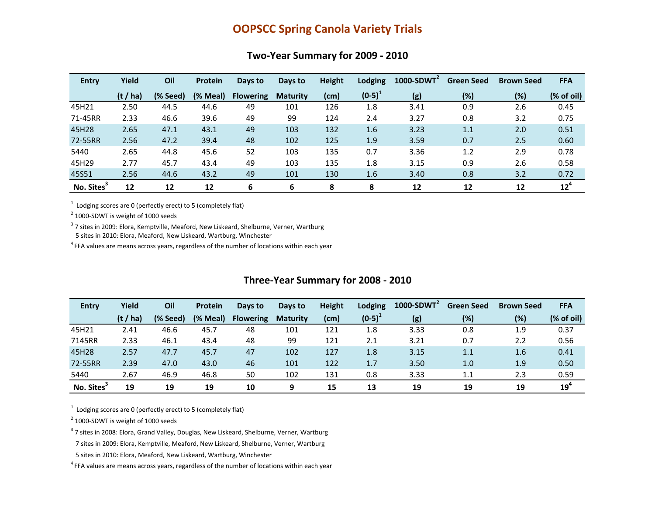## **OOPSCC Spring Canola Variety Trials**

| <b>Entry</b>           | Yield    | Oil      | Protein  | Days to          | Days to         | <b>Height</b> | Lodging     | $1000$ -SDWT <sup>2</sup> | <b>Green Seed</b> | <b>Brown Seed</b> | <b>FFA</b>                  |
|------------------------|----------|----------|----------|------------------|-----------------|---------------|-------------|---------------------------|-------------------|-------------------|-----------------------------|
|                        | (t / ha) | (% Seed) | (% Meal) | <b>Flowering</b> | <b>Maturity</b> | (cm)          | $(0-5)^{1}$ | (g)                       | (%)               | (%)               | $(% \mathbf{A})$ (% of oil) |
| 45H21                  | 2.50     | 44.5     | 44.6     | 49               | 101             | 126           | 1.8         | 3.41                      | 0.9               | 2.6               | 0.45                        |
| 71-45RR                | 2.33     | 46.6     | 39.6     | 49               | 99              | 124           | 2.4         | 3.27                      | 0.8               | 3.2               | 0.75                        |
| 45H28                  | 2.65     | 47.1     | 43.1     | 49               | 103             | 132           | 1.6         | 3.23                      | 1.1               | 2.0               | 0.51                        |
| 72-55RR                | 2.56     | 47.2     | 39.4     | 48               | 102             | 125           | 1.9         | 3.59                      | 0.7               | 2.5               | 0.60                        |
| 5440                   | 2.65     | 44.8     | 45.6     | 52               | 103             | 135           | 0.7         | 3.36                      | 1.2               | 2.9               | 0.78                        |
| 45H29                  | 2.77     | 45.7     | 43.4     | 49               | 103             | 135           | 1.8         | 3.15                      | 0.9               | 2.6               | 0.58                        |
| 45S51                  | 2.56     | 44.6     | 43.2     | 49               | 101             | 130           | 1.6         | 3.40                      | 0.8               | 3.2               | 0.72                        |
| No. Sites <sup>3</sup> | 12       | 12       | 12       | 6                | 6               | 8             | 8           | 12                        | 12                | 12                | 12 <sup>4</sup>             |

#### **Two‐Year Summary for 2009 ‐ 2010**

 $1$  Lodging scores are 0 (perfectly erect) to 5 (completely flat)

 $2$  1000-SDWT is weight of 1000 seeds

 $3$  7 sites in 2009: Elora, Kemptville, Meaford, New Liskeard, Shelburne, Verner, Wartburg

5 sites in 2010: Elora, Meaford, New Liskeard, Wartburg, Winchester

 $<sup>4</sup>$  FFA values are means across years, regardless of the number of locations within each year</sup>

| <b>Entry</b> | Yield    | Oil      | Protein  | Days to          | Days to         | Height | <b>Lodging</b> | 1000-SDWT <sup>-1</sup> | <b>Green Seed</b> | <b>Brown Seed</b> | <b>FFA</b>                  |
|--------------|----------|----------|----------|------------------|-----------------|--------|----------------|-------------------------|-------------------|-------------------|-----------------------------|
|              | (t / ha) | (% Seed) | (% Meal) | <b>Flowering</b> | <b>Maturity</b> | (cm)   | $(0-5)^{1}$    | (g)                     | (%)               | (%)               | $(% \mathbf{A})$ (% of oil) |
| 45H21        | 2.41     | 46.6     | 45.7     | 48               | 101             | 121    | 1.8            | 3.33                    | 0.8               | 1.9               | 0.37                        |
| 7145RR       | 2.33     | 46.1     | 43.4     | 48               | 99              | 121    | 2.1            | 3.21                    | 0.7               | 2.2               | 0.56                        |
| 45H28        | 2.57     | 47.7     | 45.7     | 47               | 102             | 127    | 1.8            | 3.15                    | 1.1               | 1.6               | 0.41                        |
| 72-55RR      | 2.39     | 47.0     | 43.0     | 46               | 101             | 122    | 1.7            | 3.50                    | 1.0               | 1.9               | 0.50                        |
| 5440         | 2.67     | 46.9     | 46.8     | 50               | 102             | 131    | 0.8            | 3.33                    | 1.1               | 2.3               | 0.59                        |
| No. Sites    | 19       | 19       | 19       | 10               | 9               | 15     | 13             | 19                      | 19                | 19                | $19^{4}$                    |

#### **Three‐Year Summary for 2008 ‐ 2010**

 $1$  Lodging scores are 0 (perfectly erect) to 5 (completely flat)

 $2$  1000-SDWT is weight of 1000 seeds

 $3$  7 sites in 2008: Elora, Grand Valley, Douglas, New Liskeard, Shelburne, Verner, Wartburg

7 sites in 2009: Elora, Kemptville, Meaford, New Liskeard, Shelburne, Verner, Wartburg

5 sites in 2010: Elora, Meaford, New Liskeard, Wartburg, Winchester

 $<sup>4</sup>$  FFA values are means across years, regardless of the number of locations within each year</sup>